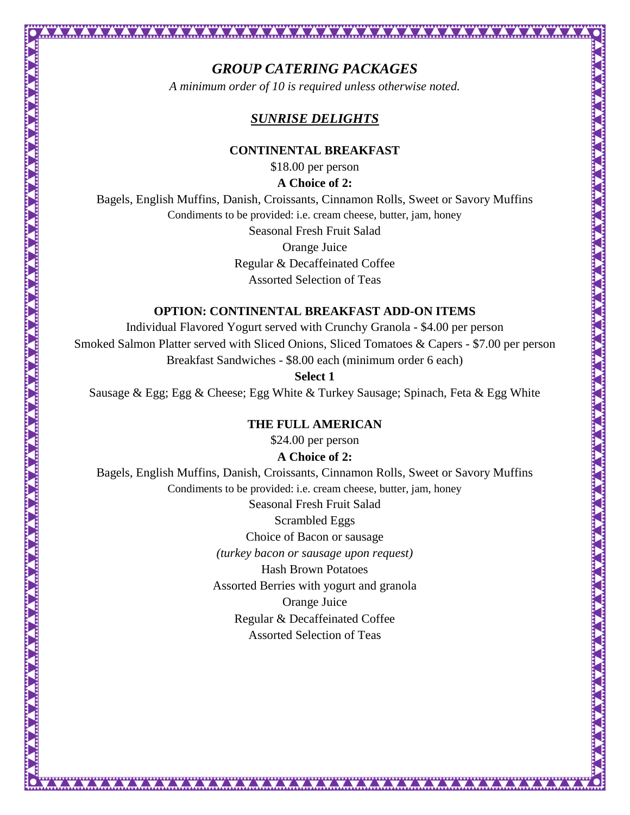# *GROUP CATERING PACKAGES*

*A minimum order of 10 is required unless otherwise noted.* 

## *SUNRISE DELIGHTS*

#### **CONTINENTAL BREAKFAST**

\$18.00 per person

#### **A Choice of 2:**

Bagels, English Muffins, Danish, Croissants, Cinnamon Rolls, Sweet or Savory Muffins Condiments to be provided: i.e. cream cheese, butter, jam, honey

Seasonal Fresh Fruit Salad

Orange Juice

Regular & Decaffeinated Coffee

Assorted Selection of Teas

## **OPTION: CONTINENTAL BREAKFAST ADD-ON ITEMS**

Individual Flavored Yogurt served with Crunchy Granola - \$4.00 per person Smoked Salmon Platter served with Sliced Onions, Sliced Tomatoes & Capers - \$7.00 per person Breakfast Sandwiches - \$8.00 each (minimum order 6 each)

**Select 1**

Sausage & Egg; Egg & Cheese; Egg White & Turkey Sausage; Spinach, Feta & Egg White

### **THE FULL AMERICAN**

\$24.00 per person

### **A Choice of 2:**

Bagels, English Muffins, Danish, Croissants, Cinnamon Rolls, Sweet or Savory Muffins Condiments to be provided: i.e. cream cheese, butter, jam, honey Seasonal Fresh Fruit Salad Scrambled Eggs Choice of Bacon or sausage *(turkey bacon or sausage upon request)* Hash Brown Potatoes Assorted Berries with yogurt and granola Orange Juice Regular & Decaffeinated Coffee Assorted Selection of Teas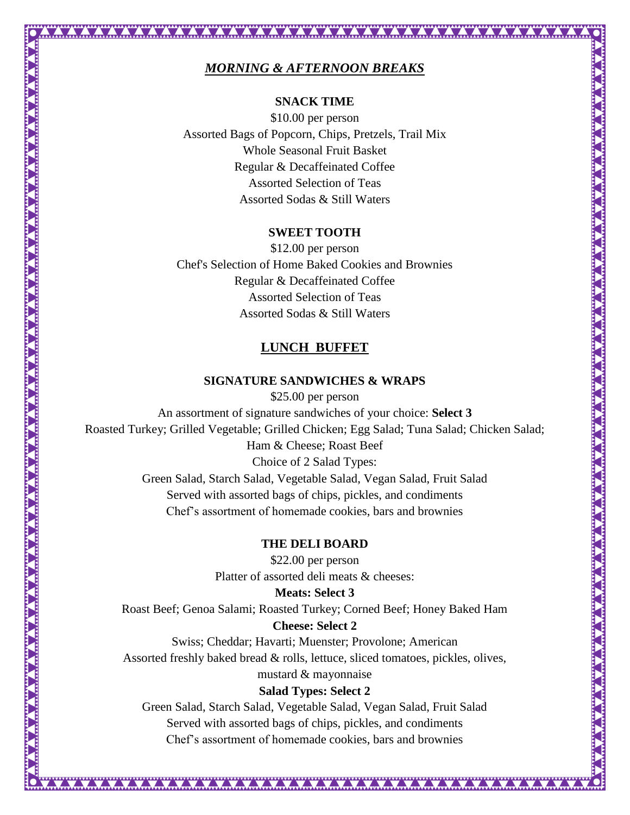## *MORNING & AFTERNOON BREAKS*

## **SNACK TIME**

\$10.00 per person Assorted Bags of Popcorn, Chips, Pretzels, Trail Mix Whole Seasonal Fruit Basket Regular & Decaffeinated Coffee Assorted Selection of Teas Assorted Sodas & Still Waters

### **SWEET TOOTH**

\$12.00 per person Chef's Selection of Home Baked Cookies and Brownies Regular & Decaffeinated Coffee Assorted Selection of Teas Assorted Sodas & Still Waters

## **LUNCH BUFFET**

## **SIGNATURE SANDWICHES & WRAPS**

\$25.00 per person An assortment of signature sandwiches of your choice: **Select 3**  Roasted Turkey; Grilled Vegetable; Grilled Chicken; Egg Salad; Tuna Salad; Chicken Salad; Ham & Cheese; Roast Beef Choice of 2 Salad Types: Green Salad, Starch Salad, Vegetable Salad, Vegan Salad, Fruit Salad Served with assorted bags of chips, pickles, and condiments Chef's assortment of homemade cookies, bars and brownies

### **THE DELI BOARD**

\$22.00 per person Platter of assorted deli meats & cheeses:

**Meats: Select 3**  Roast Beef; Genoa Salami; Roasted Turkey; Corned Beef; Honey Baked Ham

### **Cheese: Select 2**

Swiss; Cheddar; Havarti; Muenster; Provolone; American Assorted freshly baked bread & rolls, lettuce, sliced tomatoes, pickles, olives, mustard & mayonnaise

### **Salad Types: Select 2**

Green Salad, Starch Salad, Vegetable Salad, Vegan Salad, Fruit Salad Served with assorted bags of chips, pickles, and condiments Chef's assortment of homemade cookies, bars and brownies